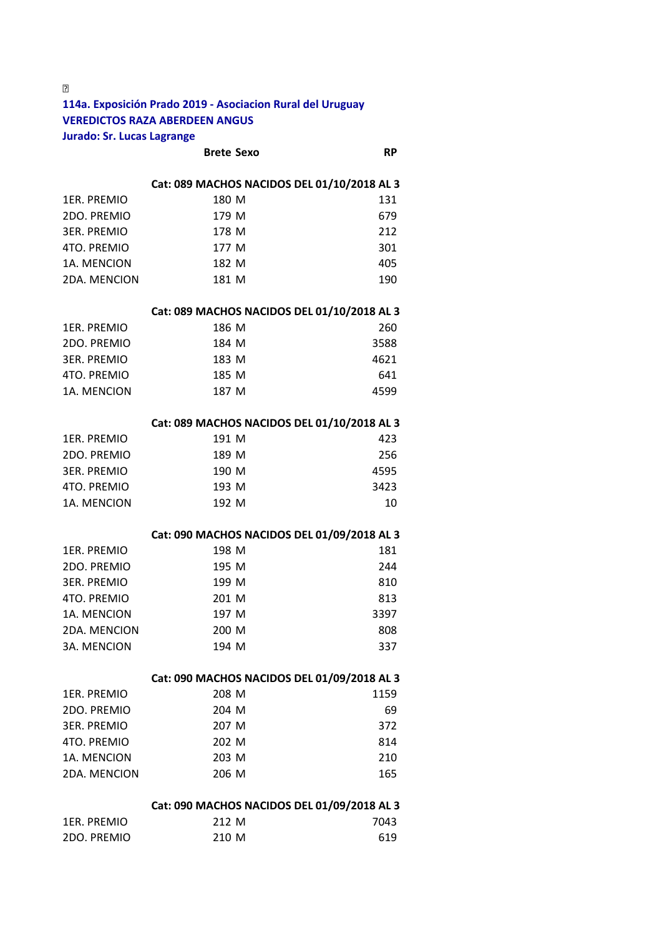**114a. Exposición Prado 2019 ‐ Asociacion Rural del Uruguay VEREDICTOS RAZA ABERDEEN ANGUS Jurado: Sr. Lucas Lagrange** 

**Brete Sexo RP** 

### **Cat: 089 MACHOS NACIDOS DEL 01/10/2018 AL 3**

| 1ER. PREMIO  | 180 M | 131 |
|--------------|-------|-----|
| 2DO. PREMIO  | 179 M | 679 |
| 3ER. PREMIO  | 178 M | 212 |
| 4TO. PREMIO  | 177 M | 301 |
| 1A. MENCION  | 182 M | 405 |
| 2DA. MENCION | 181 M | 190 |

### **Cat: 089 MACHOS NACIDOS DEL 01/10/2018 AL 3**

| 1ER. PREMIO | 186 M | 260  |
|-------------|-------|------|
| 2DO. PREMIO | 184 M | 3588 |
| 3ER. PREMIO | 183 M | 4621 |
| 4TO. PREMIO | 185 M | 641  |
| 1A. MENCION | 187 M | 4599 |

#### **Cat: 089 MACHOS NACIDOS DEL 01/10/2018 AL 3**

| 1ER. PREMIO | 191 M | 423  |
|-------------|-------|------|
| 2DO. PREMIO | 189 M | 256  |
| 3ER. PREMIO | 190 M | 4595 |
| 4TO. PREMIO | 193 M | 3423 |
| 1A. MENCION | 192 M | 10   |

### **Cat: 090 MACHOS NACIDOS DEL 01/09/2018 AL 3**

| 1ER. PREMIO  | 198 M | 181  |
|--------------|-------|------|
| 2DO. PREMIO  | 195 M | 244  |
| 3ER. PREMIO  | 199 M | 810  |
| 4TO. PREMIO  | 201 M | 813  |
| 1A. MENCION  | 197 M | 3397 |
| 2DA. MENCION | 200 M | 808  |
| 3A. MENCION  | 194 M | 337  |

#### **Cat: 090 MACHOS NACIDOS DEL 01/09/2018 AL 3**

| 1ER. PREMIO<br>208 M        | 1159 |
|-----------------------------|------|
| 2DO. PREMIO<br>204 M        | 69   |
| <b>3ER. PREMIO</b><br>207 M | 372  |
| 4TO. PREMIO<br>202 M        | 814  |
| 1A. MENCION<br>203 M        | 210  |
| 2DA. MENCION<br>206 M       | 165  |

### **Cat: 090 MACHOS NACIDOS DEL 01/09/2018 AL 3**

| 1ER. PREMIO | 212 M | 7043 |
|-------------|-------|------|
| 2DO. PREMIO | 210 M | 619  |

 $\boxed{2}$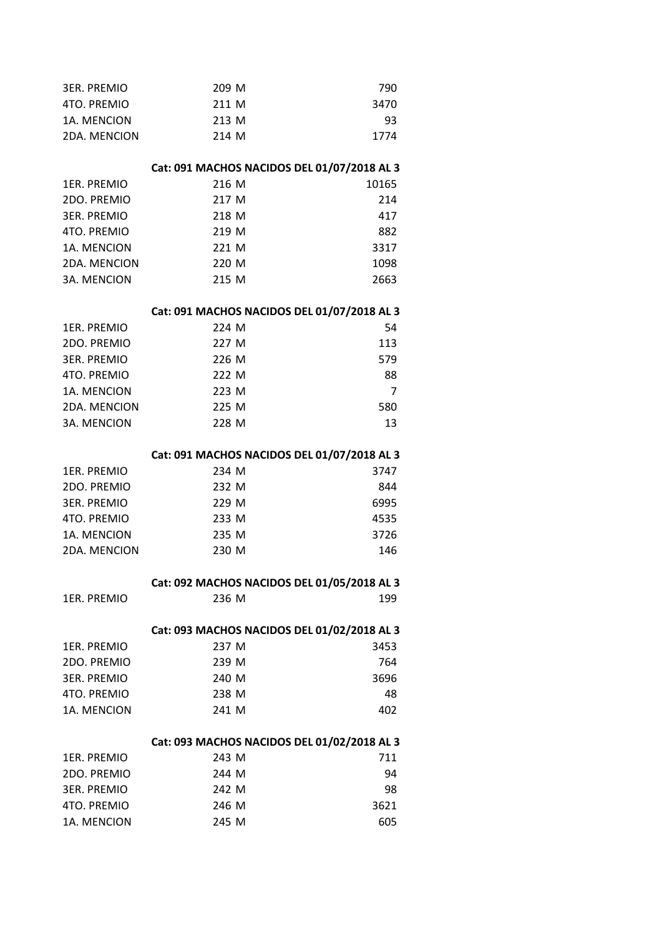| <b>3ER. PREMIO</b> | 209 M                                       | 790   |
|--------------------|---------------------------------------------|-------|
| 4TO. PREMIO        | 211 M                                       | 3470  |
| 1A. MENCION        | 213 M                                       | 93    |
| 2DA. MENCION       | 214 M                                       | 1774  |
|                    |                                             |       |
|                    | Cat: 091 MACHOS NACIDOS DEL 01/07/2018 AL 3 |       |
| 1ER. PREMIO        | 216 M                                       | 10165 |
| 2DO. PREMIO        | 217 M                                       | 214   |
| <b>3ER. PREMIO</b> | 218 M                                       | 417   |
| 4TO. PREMIO        | 219 M                                       | 882   |
| 1A. MENCION        | 221 M                                       | 3317  |
| 2DA. MENCION       | 220 M                                       | 1098  |
| 3A. MENCION        | 215 M                                       | 2663  |
|                    | Cat: 091 MACHOS NACIDOS DEL 01/07/2018 AL 3 |       |
| 1ER. PREMIO        | 224 M                                       | 54    |
| 2DO. PREMIO        | 227 M                                       | 113   |
| <b>3ER. PREMIO</b> | 226 M                                       | 579   |
| 4TO. PREMIO        | 222 M                                       | -88   |
| 1A. MENCION        | 223 M                                       | 7     |
| 2DA. MENCION       | 225 M                                       | 580   |
| 3A. MENCION        | 228 M                                       | 13    |
|                    |                                             |       |
|                    | Cat: 091 MACHOS NACIDOS DEL 01/07/2018 AL 3 |       |
| 1ER. PREMIO        | 234 M                                       | 3747  |
| 2DO. PREMIO        | 232 M                                       | 844   |
| <b>3ER. PREMIO</b> | 229 M                                       | 6995  |
| 4TO. PREMIO        | 233 M                                       | 4535  |
| 1A. MENCION        | 235 M                                       | 3726  |
| 2DA. MENCION       | 230 M                                       | 146   |
|                    | Cat: 092 MACHOS NACIDOS DEL 01/05/2018 AL 3 |       |
| 1ER. PREMIO        | 236 M                                       | 199   |
|                    | Cat: 093 MACHOS NACIDOS DEL 01/02/2018 AL 3 |       |
| 1ER. PREMIO        | 237 M                                       | 3453  |
| 2DO. PREMIO        | 239 M                                       | 764   |
| <b>3ER. PREMIO</b> | 240 M                                       | 3696  |
| 4TO. PREMIO        | 238 M                                       | 48    |
| 1A. MENCION        | 241 M                                       | 402   |
|                    | Cat: 093 MACHOS NACIDOS DEL 01/02/2018 AL 3 |       |
| 1ER. PREMIO        | 243 M                                       | 711   |
| 2DO. PREMIO        | 244 M                                       | 94    |
| <b>3ER. PREMIO</b> | 242 M                                       | 98    |
| 4TO. PREMIO        | 246 M                                       | 3621  |
| 1A. MENCION        | 245 M                                       | 605   |
|                    |                                             |       |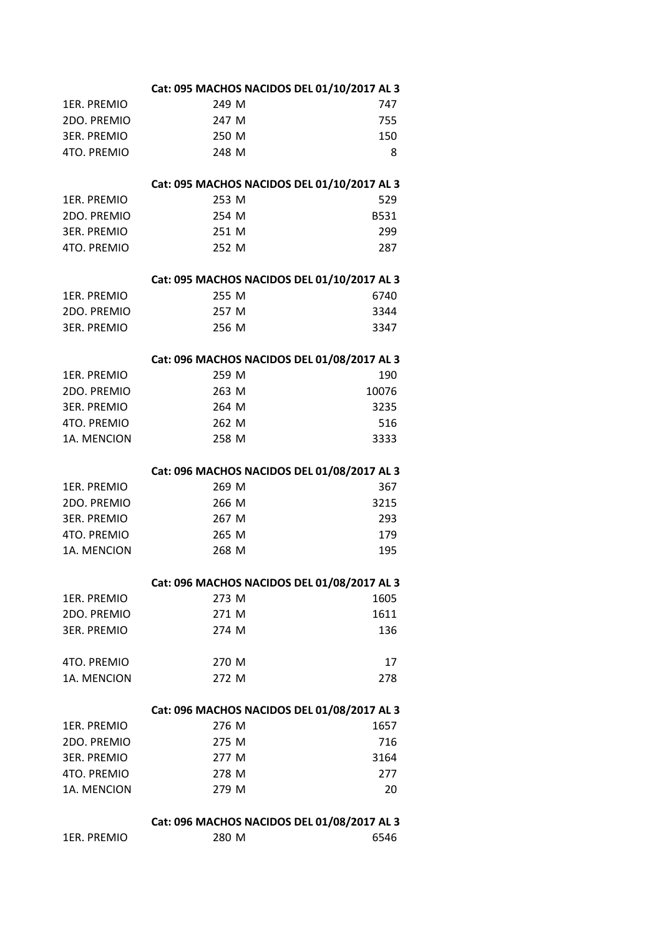| 1ER. PREMIO        | 280 M                                       | 6546        |
|--------------------|---------------------------------------------|-------------|
|                    | Cat: 096 MACHOS NACIDOS DEL 01/08/2017 AL 3 |             |
|                    |                                             |             |
| 1A. MENCION        | 279 M                                       | 20          |
| 4TO. PREMIO        | 278 M                                       | 277         |
| <b>3ER. PREMIO</b> | 277 M                                       | 3164        |
| 2DO. PREMIO        | 275 M                                       | 716         |
| 1ER. PREMIO        | 276 M                                       | 1657        |
|                    | Cat: 096 MACHOS NACIDOS DEL 01/08/2017 AL 3 |             |
| 1A. MENCION        | 272 M                                       | 278         |
| 4TO. PREMIO        | 270 M                                       | 17          |
| <b>3ER. PREMIO</b> | 274 M                                       | 136         |
| 2DO. PREMIO        | 271 M                                       | 1611        |
| 1ER. PREMIO        | 273 M                                       | 1605        |
|                    | Cat: 096 MACHOS NACIDOS DEL 01/08/2017 AL 3 |             |
| 1A. MENCION        | 268 M                                       | 195         |
| 4TO. PREMIO        | 265 M                                       | 179         |
| <b>3ER. PREMIO</b> | 267 M                                       | 293         |
| 2DO. PREMIO        | 266 M                                       | 3215        |
| 1ER. PREMIO        | 269 M                                       | 367         |
|                    | Cat: 096 MACHOS NACIDOS DEL 01/08/2017 AL 3 |             |
|                    |                                             |             |
| 1A. MENCION        | 258 M                                       | 3333        |
| 4TO. PREMIO        | 262 M                                       | 516         |
| <b>3ER. PREMIO</b> | 264 M                                       | 3235        |
| 2DO. PREMIO        | 263 M                                       | 10076       |
| <b>1ER. PREMIO</b> | 259 M                                       | 190         |
|                    | Cat: 096 MACHOS NACIDOS DEL 01/08/2017 AL 3 |             |
| <b>3ER. PREMIO</b> | 256 M                                       | 3347        |
| 2DO. PREMIO        | 257 M                                       | 3344        |
| <b>1ER. PREMIO</b> | 255 M                                       | 6740        |
|                    | Cat: 095 MACHOS NACIDOS DEL 01/10/2017 AL 3 |             |
| 4TO. PREMIO        | 252 M                                       | 287         |
| <b>3ER. PREMIO</b> | 251 M                                       | 299         |
| 2DO. PREMIO        | 254 M                                       | <b>B531</b> |
| 1ER. PREMIO        | 253 M                                       | 529         |
|                    | Cat: 095 MACHOS NACIDOS DEL 01/10/2017 AL 3 |             |
| 4TO. PREMIO        |                                             | 8           |
| <b>3ER. PREMIO</b> | 250 M<br>248 M                              | 150         |
| 2DO. PREMIO        | 247 M                                       | 755         |
| 1ER. PREMIO        | 249 M                                       | 747         |
|                    | Cat: 095 MACHOS NACIDOS DEL 01/10/2017 AL 3 |             |
|                    |                                             |             |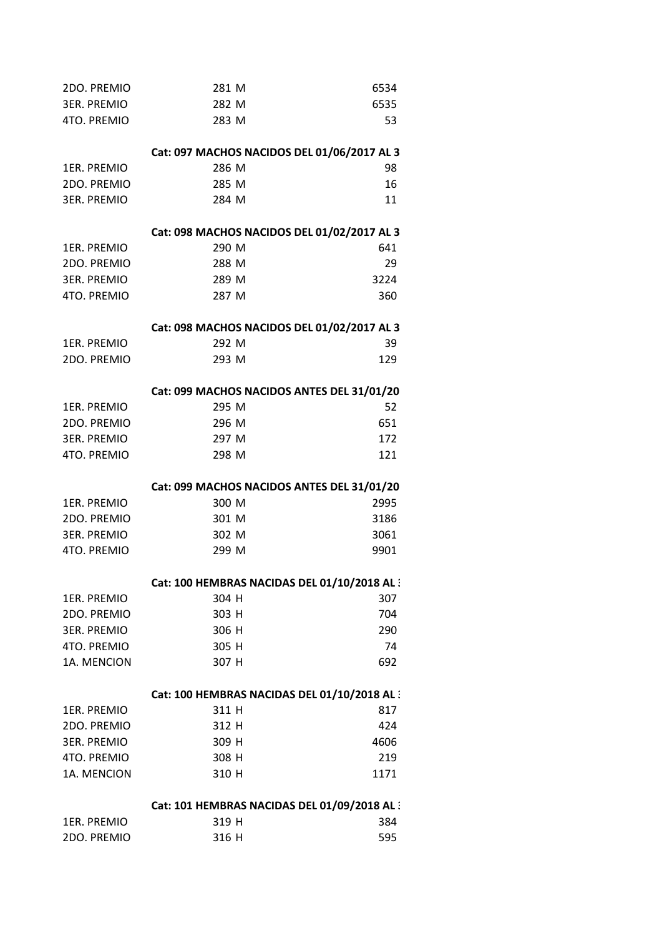| 2DO. PREMIO        | 281 M                                        | 6534 |
|--------------------|----------------------------------------------|------|
| <b>3ER. PREMIO</b> | 282 M                                        | 6535 |
| 4TO. PREMIO        | 283 M                                        | 53   |
|                    |                                              |      |
|                    | Cat: 097 MACHOS NACIDOS DEL 01/06/2017 AL 3  |      |
| <b>1ER. PREMIO</b> | 286 M                                        | 98   |
| 2DO. PREMIO        | 285 M                                        | 16   |
| <b>3ER. PREMIO</b> | 284 M                                        | 11   |
|                    | Cat: 098 MACHOS NACIDOS DEL 01/02/2017 AL 3  |      |
| <b>1ER. PREMIO</b> | 290 M                                        | 641  |
| 2DO. PREMIO        | 288 M                                        | 29   |
| <b>3ER. PREMIO</b> | 289 M                                        | 3224 |
| 4TO. PREMIO        | 287 M                                        | 360  |
|                    | Cat: 098 MACHOS NACIDOS DEL 01/02/2017 AL 3  |      |
| <b>1ER. PREMIO</b> | 292 M                                        | 39   |
| 2DO. PREMIO        | 293 M                                        | 129  |
|                    |                                              |      |
|                    | Cat: 099 MACHOS NACIDOS ANTES DEL 31/01/20   |      |
| 1ER. PREMIO        | 295 M                                        | 52   |
| 2DO. PREMIO        | 296 M                                        | 651  |
| <b>3ER. PREMIO</b> | 297 M                                        | 172  |
| 4TO. PREMIO        | 298 M                                        | 121  |
|                    | Cat: 099 MACHOS NACIDOS ANTES DEL 31/01/20   |      |
| <b>1ER. PREMIO</b> | 300 M                                        | 2995 |
| 2DO. PREMIO        | 301 M                                        | 3186 |
| <b>3ER. PREMIO</b> | 302 M                                        | 3061 |
| 4TO. PREMIO        | 299 M                                        | 9901 |
|                    | Cat: 100 HEMBRAS NACIDAS DEL 01/10/2018 AL : |      |
| 1ER. PREMIO        | 304 H                                        | 307  |
| 2DO. PREMIO        | 303 H                                        | 704  |
| <b>3ER. PREMIO</b> | 306 H                                        | 290  |
| 4TO. PREMIO        | 305 H                                        | 74   |
| 1A. MENCION        | 307 H                                        | 692  |
|                    | Cat: 100 HEMBRAS NACIDAS DEL 01/10/2018 AL 3 |      |
| <b>1ER. PREMIO</b> | 311 H                                        | 817  |
| 2DO. PREMIO        | 312 H                                        | 424  |
| <b>3ER. PREMIO</b> | 309 H                                        | 4606 |
| 4TO. PREMIO        | 308 H                                        | 219  |
| 1A. MENCION        | 310 H                                        | 1171 |
|                    | Cat: 101 HEMBRAS NACIDAS DEL 01/09/2018 AL : |      |
| 1ER. PREMIO        | 319 H                                        | 384  |
| 2DO. PREMIO        | 316 H                                        | 595  |
|                    |                                              |      |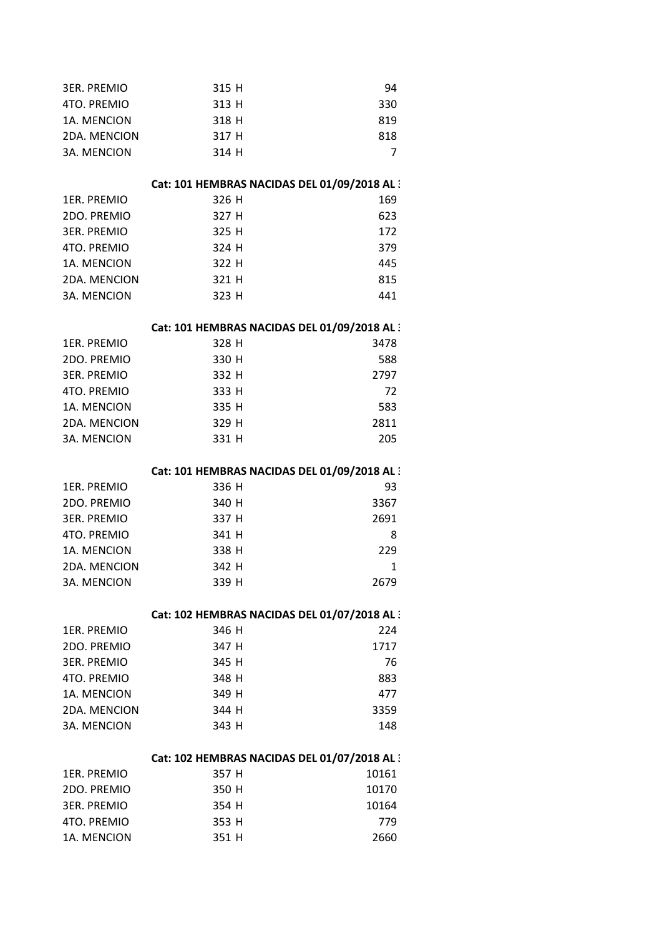| <b>3ER. PREMIO</b>  | 315 H                                        | 94           |
|---------------------|----------------------------------------------|--------------|
| 4TO. PREMIO         | 313 H                                        | 330          |
| 1A. MENCION         | 318 H                                        | 819          |
| 2DA. MENCION        | 317 H                                        | 818          |
| <b>3A. MENCION</b>  | 314 H                                        | 7            |
|                     | Cat: 101 HEMBRAS NACIDAS DEL 01/09/2018 AL : |              |
| 1ER. PREMIO         | 326 H                                        | 169          |
| 2DO. PREMIO         | 327 H                                        | 623          |
| <b>3ER. PREMIO</b>  | 325 H                                        | 172          |
| 4TO. PREMIO         | 324 H                                        | 379          |
| 1A. MENCION         | 322 H                                        | 445          |
| 2DA. MENCION        | 321 H                                        | 815          |
| <b>3A. MENCION</b>  | 323 H                                        | 441          |
|                     | Cat: 101 HEMBRAS NACIDAS DEL 01/09/2018 AL : |              |
| <b>1ER. PREMIO</b>  | 328 H                                        | 3478         |
| 2DO. PREMIO         | 330 H                                        | 588          |
| <b>3ER. PREMIO</b>  | 332 H                                        | 2797         |
| 4TO. PREMIO         | 333 H                                        | 72           |
| 1A. MENCION         | 335 H                                        | 583          |
| 2DA. MENCION        | 329 H                                        | 2811         |
| 3A. MENCION         | 331 H                                        | 205          |
|                     | Cat: 101 HEMBRAS NACIDAS DEL 01/09/2018 AL : |              |
| 1ER. PREMIO         | 336 H                                        | 93           |
| 2DO. PREMIO         | 340 H                                        | 3367         |
| <b>3ER. PREMIO</b>  | 337 H                                        | 2691         |
| 4TO. PREMIO         | 341 H                                        | 8            |
| 1A. MENCION         | 338 H                                        | 229          |
| 2DA. MENCION        | 342 H                                        | $\mathbf{1}$ |
|                     |                                              |              |
| 3A. MENCION         | 339 H                                        | 2679         |
|                     | Cat: 102 HEMBRAS NACIDAS DEL 01/07/2018 AL : |              |
| <b>1ER. PREMIO</b>  | 346 H                                        | 224          |
| 2DO. PREMIO         | 347 H                                        | 1717         |
| <b>3ER. PREMIO</b>  | 345 H                                        | 76           |
| 4TO. PREMIO         | 348 H                                        | 883          |
| 1A. MENCION         | 349 H                                        | 477          |
| <b>2DA. MENCION</b> | 344 H                                        | 3359         |
| 3A. MENCION         | 343 H                                        | 148          |
|                     | Cat: 102 HEMBRAS NACIDAS DEL 01/07/2018 AL : |              |
| 1ER. PREMIO         | 357 H                                        | 10161        |
| 2DO. PREMIO         | 350 H                                        | 10170        |
| <b>3ER. PREMIO</b>  | 354 H                                        | 10164        |
| 4TO. PREMIO         | 353 H                                        | 779          |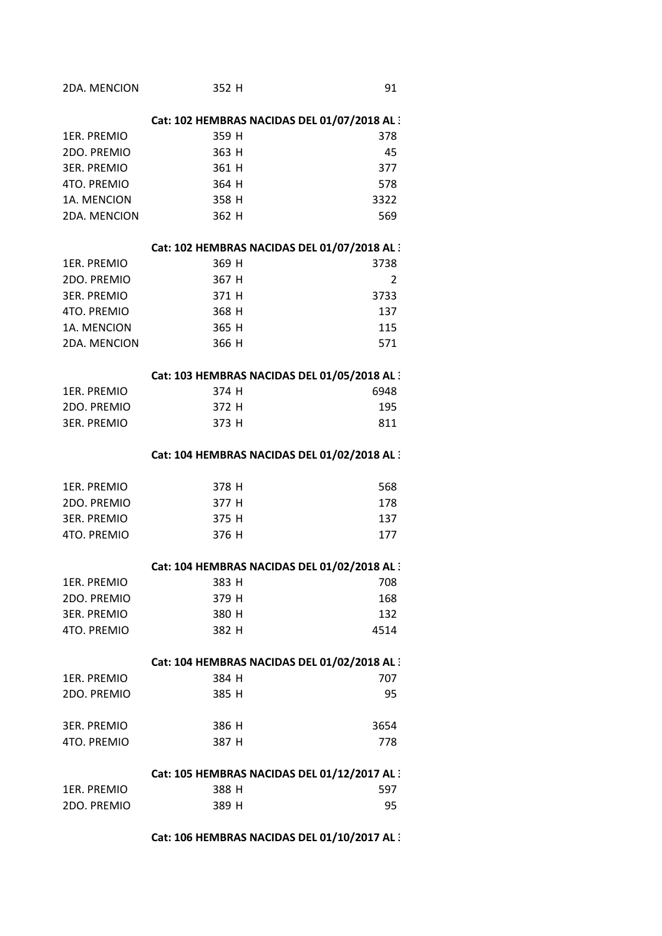| 2DA. MENCION       | 352 H                                        | 91             |
|--------------------|----------------------------------------------|----------------|
|                    | Cat: 102 HEMBRAS NACIDAS DEL 01/07/2018 AL 3 |                |
| 1ER. PREMIO        | 359 H                                        | 378            |
| 2DO. PREMIO        | 363 H                                        | 45             |
| <b>3ER. PREMIO</b> | 361 H                                        | 377            |
| 4TO. PREMIO        | 364 H                                        | 578            |
| 1A. MENCION        | 358 H                                        | 3322           |
| 2DA. MENCION       | 362 H                                        | 569            |
|                    | Cat: 102 HEMBRAS NACIDAS DEL 01/07/2018 AL 3 |                |
| 1ER. PREMIO        | 369 H                                        | 3738           |
| 2DO. PREMIO        | 367 H                                        | $\overline{2}$ |
| <b>3ER. PREMIO</b> | 371 H                                        | 3733           |
| 4TO. PREMIO        | 368 H                                        | 137            |
| 1A. MENCION        | 365 H                                        | 115            |
| 2DA. MENCION       | 366 H                                        | 571            |
|                    | Cat: 103 HEMBRAS NACIDAS DEL 01/05/2018 AL : |                |
| 1ER. PREMIO        | 374 H                                        | 6948           |
| 2DO. PREMIO        | 372 H                                        | 195            |
| <b>3ER. PREMIO</b> | 373 H                                        | 811            |
|                    | Cat: 104 HEMBRAS NACIDAS DEL 01/02/2018 AL 3 |                |
| 1ER. PREMIO        | 378 H                                        | 568            |
| 2DO. PREMIO        | 377 H                                        | 178            |
| <b>3ER. PREMIO</b> | 375 H                                        | 137            |
| 4TO. PREMIO        | 376 H                                        | 177            |
|                    | Cat: 104 HEMBRAS NACIDAS DEL 01/02/2018 AL : |                |
| 1ER. PREMIO        | 383 H                                        | 708            |
| 2DO. PREMIO        | 379 H                                        | 168            |
| <b>3ER. PREMIO</b> | 380 H                                        | 132            |
| 4TO. PREMIO        | 382 H                                        | 4514           |
|                    | Cat: 104 HEMBRAS NACIDAS DEL 01/02/2018 AL : |                |
| 1ER. PREMIO        | 384 H                                        | 707            |
| 2DO. PREMIO        | 385 H                                        | 95             |
| <b>3ER. PREMIO</b> | 386 H                                        | 3654           |
| 4TO. PREMIO        | 387 H                                        | 778            |
|                    | Cat: 105 HEMBRAS NACIDAS DEL 01/12/2017 AL 3 |                |
| 1ER. PREMIO        | 388 H                                        | 597            |
| 2DO. PREMIO        | 389 H                                        | 95             |

**Cat: 106 HEMBRAS NACIDAS DEL 01/10/2017 AL 3**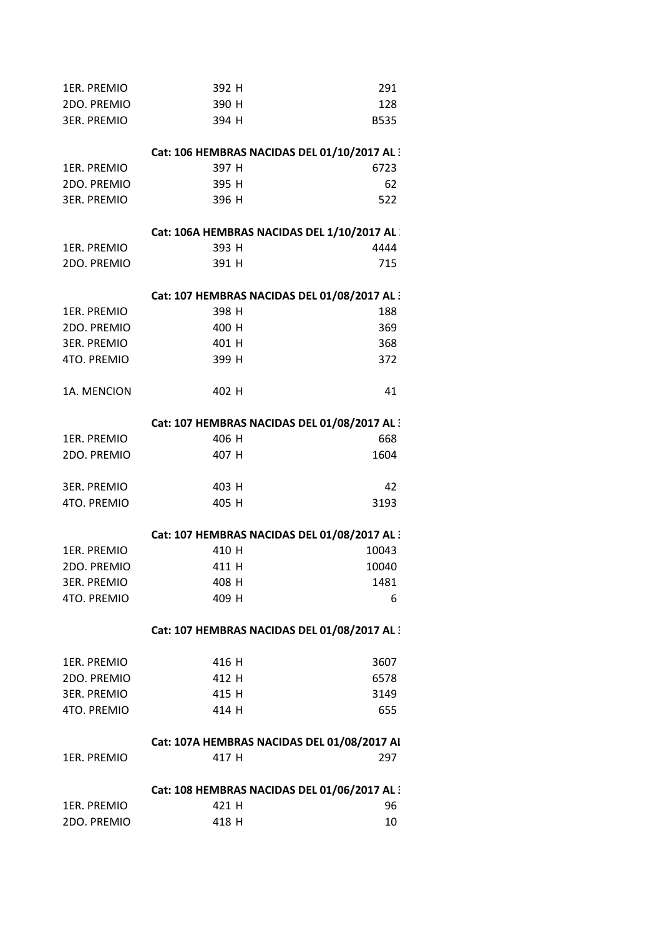| 1ER. PREMIO        | 392 H                                        | 291         |
|--------------------|----------------------------------------------|-------------|
| 2DO. PREMIO        | 390 H                                        | 128         |
| <b>3ER. PREMIO</b> | 394 H                                        | <b>B535</b> |
|                    | Cat: 106 HEMBRAS NACIDAS DEL 01/10/2017 AL : |             |
| 1ER. PREMIO        | 397 H                                        | 6723        |
| 2DO. PREMIO        | 395 H                                        | 62          |
| <b>3ER. PREMIO</b> | 396 H                                        | 522         |
|                    | Cat: 106A HEMBRAS NACIDAS DEL 1/10/2017 AL   |             |
| 1ER. PREMIO        | 393 H                                        | 4444        |
| 2DO. PREMIO        | 391 H                                        | 715         |
|                    | Cat: 107 HEMBRAS NACIDAS DEL 01/08/2017 AL : |             |
| 1ER. PREMIO        | 398 H                                        | 188         |
| 2DO. PREMIO        | 400 H                                        | 369         |
| <b>3ER. PREMIO</b> | 401 H                                        | 368         |
| 4TO. PREMIO        | 399 H                                        | 372         |
| 1A. MENCION        | 402 H                                        | 41          |
|                    | Cat: 107 HEMBRAS NACIDAS DEL 01/08/2017 AL : |             |
| 1ER. PREMIO        | 406 H                                        | 668         |
| 2DO. PREMIO        | 407 H                                        | 1604        |
| <b>3ER. PREMIO</b> | 403 H                                        | 42          |
| 4TO. PREMIO        | 405 H                                        | 3193        |
|                    | Cat: 107 HEMBRAS NACIDAS DEL 01/08/2017 AL : |             |
| <b>1ER. PREMIO</b> | 410 H                                        | 10043       |
| 2DO. PREMIO        | 411 H                                        | 10040       |
| <b>3ER. PREMIO</b> | 408 H                                        | 1481        |
| 4TO. PREMIO        | 409 H                                        | 6           |
|                    | Cat: 107 HEMBRAS NACIDAS DEL 01/08/2017 AL:  |             |
| 1ER. PREMIO        | 416 H                                        | 3607        |
| 2DO. PREMIO        | 412 H                                        | 6578        |
| <b>3ER. PREMIO</b> | 415 H                                        | 3149        |
| 4TO. PREMIO        | 414 H                                        | 655         |
|                    | Cat: 107A HEMBRAS NACIDAS DEL 01/08/2017 AI  |             |
| 1ER. PREMIO        | 417 H                                        | 297         |
|                    | Cat: 108 HEMBRAS NACIDAS DEL 01/06/2017 AL:  |             |
| 1ER. PREMIO        | 421 H                                        | 96          |
| 2DO. PREMIO        | 418 H                                        | 10          |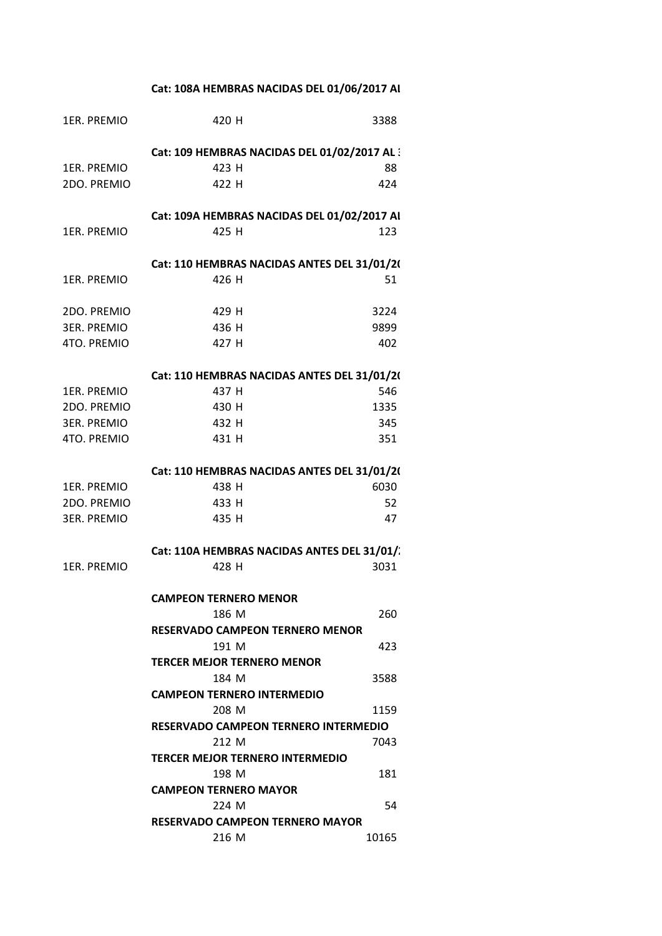**Cat: 108A HEMBRAS NACIDAS DEL 01/06/2017 AL**

| <b>1ER. PREMIO</b> | 420 H                                           | 3388  |
|--------------------|-------------------------------------------------|-------|
|                    | Cat: 109 HEMBRAS NACIDAS DEL 01/02/2017 AL 3    |       |
| 1ER. PREMIO        | 423 H                                           | 88    |
| 2DO. PREMIO        | 422 H                                           | 424   |
|                    | Cat: 109A HEMBRAS NACIDAS DEL 01/02/2017 AI     |       |
| 1ER. PREMIO        | 425 H                                           | 123   |
|                    | Cat: 110 HEMBRAS NACIDAS ANTES DEL 31/01/20     |       |
| 1ER. PREMIO        | 426 H                                           | 51    |
| 2DO. PREMIO        | 429 H                                           | 3224  |
| 3ER. PREMIO        | 436 H                                           | 9899  |
| 4TO. PREMIO        | 427 H                                           | 402   |
|                    | Cat: 110 HEMBRAS NACIDAS ANTES DEL 31/01/20     |       |
| 1ER. PREMIO        | 437 H                                           | 546   |
| 2DO. PREMIO        | 430 H                                           | 1335  |
| <b>3ER. PREMIO</b> | 432 H                                           | 345   |
| 4TO. PREMIO        | 431 H                                           | 351   |
|                    | Cat: 110 HEMBRAS NACIDAS ANTES DEL 31/01/20     |       |
| 1ER. PREMIO        | 438 H                                           | 6030  |
| 2DO. PREMIO        | 433 H                                           | 52    |
| <b>3ER. PREMIO</b> | 435 H                                           | 47    |
|                    | Cat: 110A HEMBRAS NACIDAS ANTES DEL 31/01/.     |       |
| <b>1ER. PREMIO</b> | 428 H                                           | 3031  |
|                    | <b>CAMPEON TERNERO MENOR</b>                    |       |
|                    | 186 M                                           | 260   |
|                    | <b>RESERVADO CAMPEON TERNERO MENOR</b>          |       |
|                    | 191 M                                           | 423   |
|                    | <b>TERCER MEJOR TERNERO MENOR</b>               |       |
|                    | 184 M                                           | 3588  |
|                    | <b>CAMPEON TERNERO INTERMEDIO</b>               |       |
|                    | 208 M                                           | 1159  |
|                    | <b>RESERVADO CAMPEON TERNERO INTERMEDIO</b>     |       |
|                    | 212 M                                           | 7043  |
|                    | <b>TERCER MEJOR TERNERO INTERMEDIO</b><br>198 M |       |
|                    | <b>CAMPEON TERNERO MAYOR</b>                    | 181   |
|                    | 224 M                                           | 54    |
|                    |                                                 |       |
|                    | <b>RESERVADO CAMPEON TERNERO MAYOR</b>          |       |
|                    | 216 M                                           | 10165 |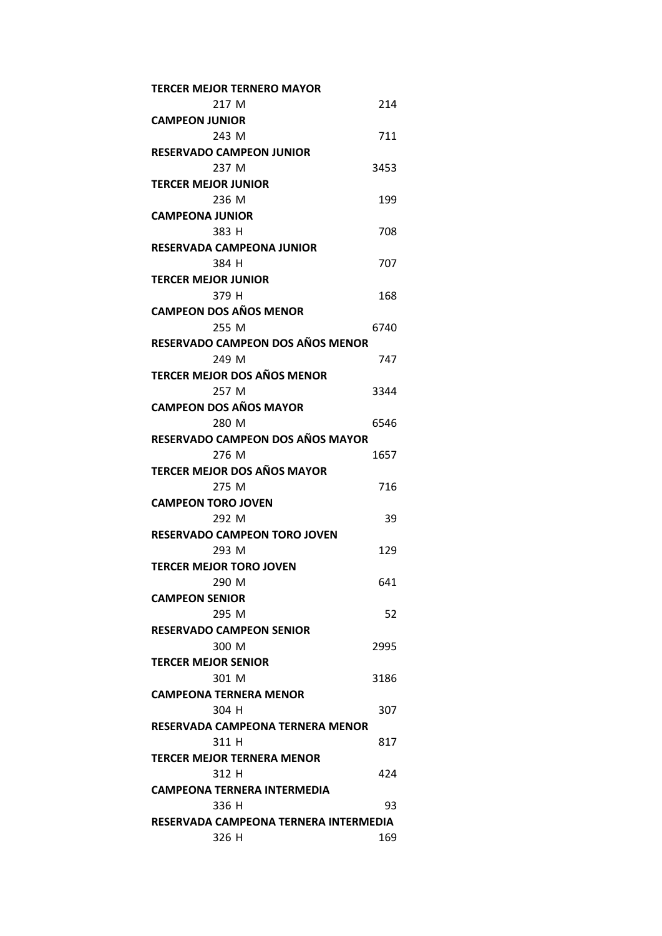| <b>TERCER MEJOR TERNERO MAYOR</b>     |      |
|---------------------------------------|------|
| 217 M                                 | 214  |
| <b>CAMPEON JUNIOR</b>                 |      |
| 243 M                                 | 711  |
| <b>RESERVADO CAMPEON JUNIOR</b>       |      |
| 237 M                                 | 3453 |
| <b>TERCER MEJOR JUNIOR</b>            |      |
| 236 M                                 | 199  |
| <b>CAMPEONA JUNIOR</b>                |      |
| 383 H                                 | 708  |
| RESERVADA CAMPEONA JUNIOR             |      |
| 384 H                                 | 707  |
| <b>TERCER MEJOR JUNIOR</b>            |      |
| 379 H                                 | 168  |
| <b>CAMPEON DOS AÑOS MENOR</b>         |      |
| 255 M                                 | 6740 |
| RESERVADO CAMPEON DOS AÑOS MENOR      |      |
| 249 M                                 | 747  |
| <b>TERCER MEJOR DOS AÑOS MENOR</b>    |      |
| 257 M                                 | 3344 |
| <b>CAMPEON DOS AÑOS MAYOR</b>         |      |
| 280 M                                 | 6546 |
| RESERVADO CAMPEON DOS AÑOS MAYOR      |      |
| 276 M                                 | 1657 |
| <b>TERCER MEJOR DOS AÑOS MAYOR</b>    |      |
| 275 M                                 | 716  |
| <b>CAMPEON TORO JOVEN</b>             |      |
| 292 M                                 | 39   |
| <b>RESERVADO CAMPEON TORO JOVEN</b>   |      |
| 293 M                                 | 129  |
| <b>TERCER MEJOR TORO JOVEN</b>        |      |
| 290 M                                 | 641  |
| <b>CAMPEON SENIOR</b>                 |      |
| 295 M                                 | 52   |
| <b>RESERVADO CAMPEON SENIOR</b>       |      |
| 300 M                                 | 2995 |
| <b>TERCER MEJOR SENIOR</b>            |      |
| 301 M                                 | 3186 |
| <b>CAMPEONA TERNERA MENOR</b>         |      |
| 304 H                                 | 307  |
| RESERVADA CAMPEONA TERNERA MENOR      |      |
| 311 H                                 | 817  |
| <b>TERCER MEJOR TERNERA MENOR</b>     |      |
| 312 H                                 | 424  |
| CAMPEONA TERNERA INTERMEDIA           |      |
| 336 H                                 | 93   |
| RESERVADA CAMPEONA TERNERA INTERMEDIA |      |
| 326 H                                 | 169  |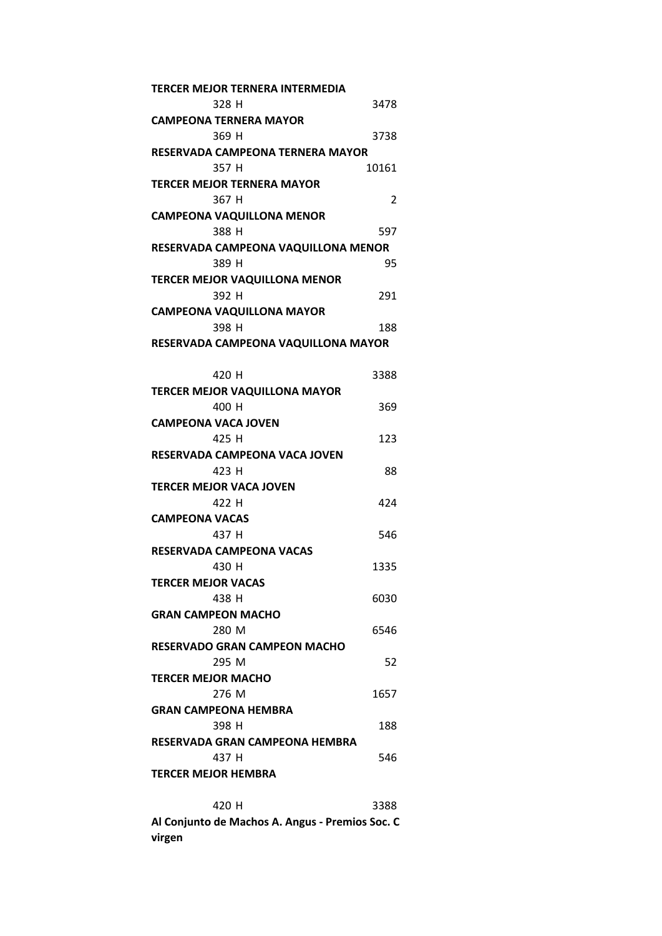| TERCER MEJOR TERNERA INTERMEDIA      |       |
|--------------------------------------|-------|
| 328 H                                | 3478  |
| <b>CAMPEONA TERNERA MAYOR</b>        |       |
| 369 H                                | 3738  |
| RESERVADA CAMPEONA TERNERA MAYOR     |       |
| 357 H                                | 10161 |
| <b>TERCER MEJOR TERNERA MAYOR</b>    |       |
| 367 H                                | 2     |
| <b>CAMPEONA VAQUILLONA MENOR</b>     |       |
| 388 H                                | 597   |
| RESERVADA CAMPEONA VAQUILLONA MENOR  |       |
| 389 H                                | 95    |
| <b>TERCER MEJOR VAQUILLONA MENOR</b> |       |
| 392 H                                | 291   |
| <b>CAMPEONA VAQUILLONA MAYOR</b>     |       |
| 398 H                                | 188   |
| RESERVADA CAMPEONA VAQUILLONA MAYOR  |       |
|                                      |       |
| 420 H                                | 3388  |
| <b>TERCER MEJOR VAQUILLONA MAYOR</b> |       |
| 400 H                                | 369   |
| <b>CAMPEONA VACA JOVEN</b>           |       |
| 425 H                                | 123   |
| RESERVADA CAMPEONA VACA JOVEN        |       |
| 423 H                                | 88    |
| <b>TERCER MEJOR VACA JOVEN</b>       |       |
| 422 H                                | 424   |
| <b>CAMPEONA VACAS</b>                |       |
| 437 H                                | 546   |
| RESERVADA CAMPEONA VACAS             |       |
| 430 H                                | 1335  |
|                                      |       |
| TERCER MEJOR VACAS                   |       |
| 438 H                                | 6030  |
| <b>GRAN CAMPEON MACHO</b><br>280 M   | 6546  |
|                                      |       |
| RESERVADO GRAN CAMPEON MACHO         |       |
| 295 M                                | 52    |
| <b>TERCER MEJOR MACHO</b>            |       |
| 276 M                                | 1657  |
| <b>GRAN CAMPEONA HEMBRA</b>          |       |
| 398 H                                | 188   |
| RESERVADA GRAN CAMPEONA HEMBRA       |       |
| 437 H                                | 546   |
| <b>TERCER MEJOR HEMBRA</b>           |       |
|                                      |       |
| 420 H                                | 3388  |

**Al Conjunto de Machos A. Angus ‐ Premios Soc. C virgen**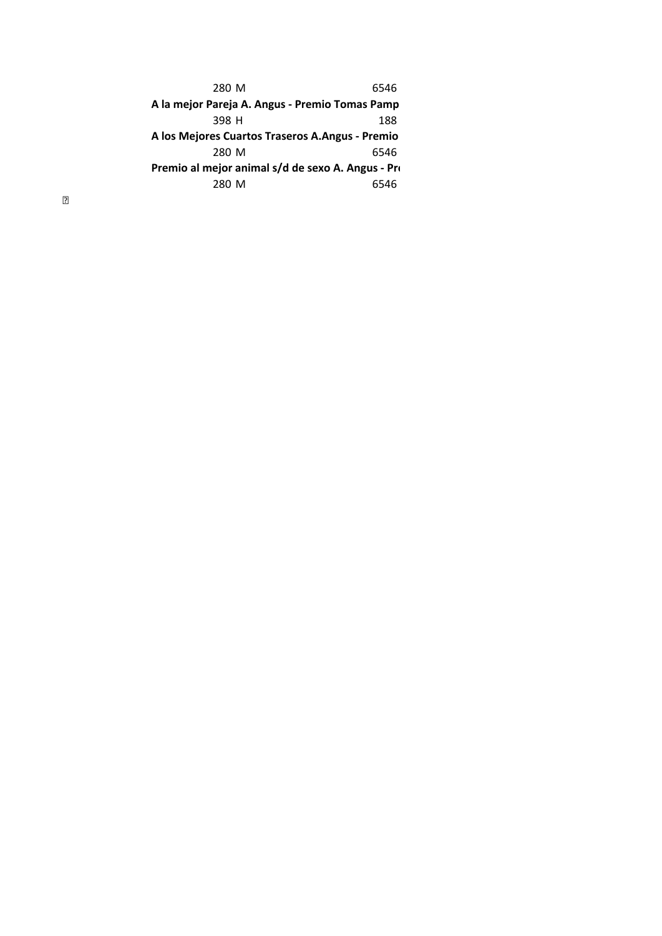280 M 6546 398 H 188 280 M 6546 280 M 6546 **A la mejor Pareja A. Angus ‐ Premio Tomas Pamp A los Mejores Cuartos Traseros A.Angus ‐ Premio Premio al mejor animal s/d de sexo A. Angus ‐ Pre**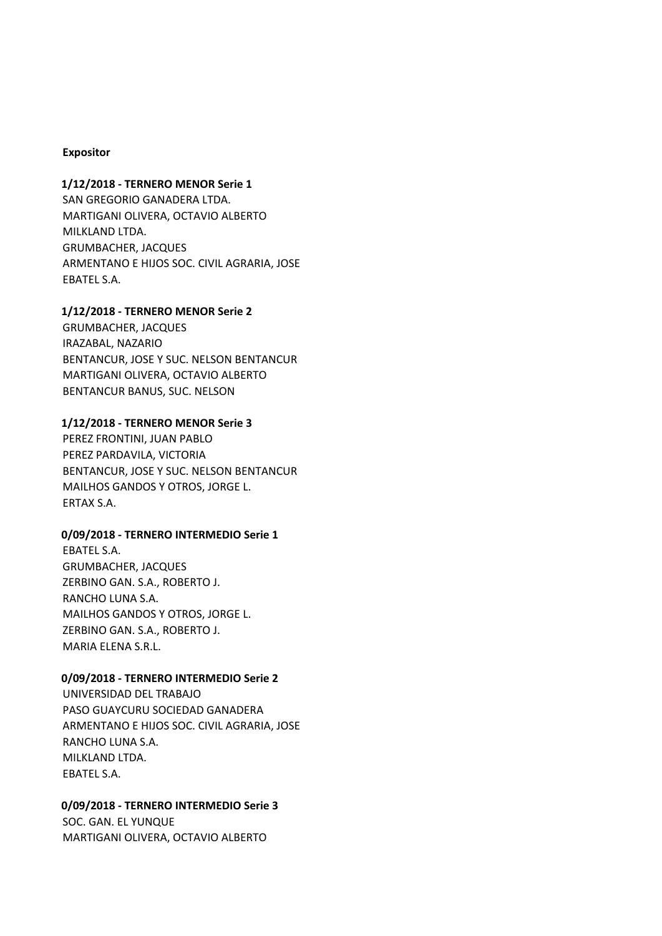### **Expositor**

### **1/12/2018 ‐ TERNERO MENOR Serie 1**

SAN GREGORIO GANADERA LTDA. MARTIGANI OLIVERA, OCTAVIO ALBERTO MILKLAND LTDA. GRUMBACHER, JACQUES ARMENTANO E HIJOS SOC. CIVIL AGRARIA, JOSE EBATEL S.A.

### **1/12/2018 ‐ TERNERO MENOR Serie 2**

GRUMBACHER, JACQUES IRAZABAL, NAZARIO BENTANCUR, JOSE Y SUC. NELSON BENTANCUR MARTIGANI OLIVERA, OCTAVIO ALBERTO BENTANCUR BANUS, SUC. NELSON

### **1/12/2018 ‐ TERNERO MENOR Serie 3**

PEREZ FRONTINI, JUAN PABLO PEREZ PARDAVILA, VICTORIA BENTANCUR, JOSE Y SUC. NELSON BENTANCUR MAILHOS GANDOS Y OTROS, JORGE L. ERTAX S.A.

### **0/09/2018 ‐ TERNERO INTERMEDIO Serie 1**

EBATEL S.A. GRUMBACHER, JACQUES ZERBINO GAN. S.A., ROBERTO J. RANCHO LUNA S.A. MAILHOS GANDOS Y OTROS, JORGE L. ZERBINO GAN. S.A., ROBERTO J. MARIA ELENA S.R.L.

#### **0/09/2018 ‐ TERNERO INTERMEDIO Serie 2**

UNIVERSIDAD DEL TRABAJO PASO GUAYCURU SOCIEDAD GANADERA ARMENTANO E HIJOS SOC. CIVIL AGRARIA, JOSE RANCHO LUNA S.A. MILKLAND LTDA. EBATEL S.A.

### **0/09/2018 ‐ TERNERO INTERMEDIO Serie 3**

SOC. GAN. EL YUNQUE MARTIGANI OLIVERA, OCTAVIO ALBERTO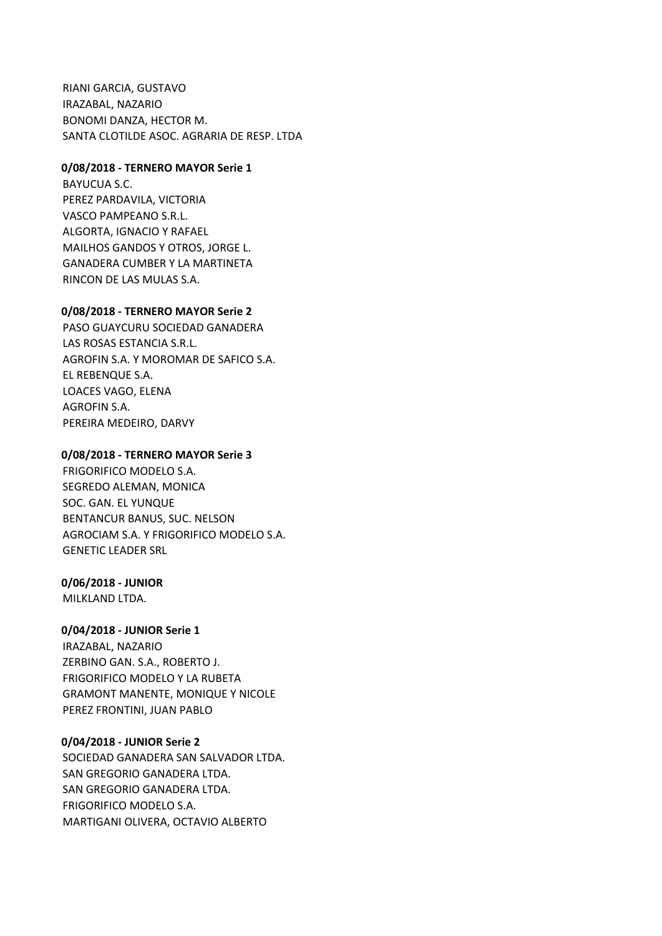RIANI GARCIA, GUSTAVO IRAZABAL, NAZARIO BONOMI DANZA, HECTOR M. SANTA CLOTILDE ASOC. AGRARIA DE RESP. LTDA

### **0/08/2018 ‐ TERNERO MAYOR Serie 1**

BAYUCUA S.C. PEREZ PARDAVILA, VICTORIA VASCO PAMPEANO S.R.L. ALGORTA, IGNACIO Y RAFAEL MAILHOS GANDOS Y OTROS, JORGE L. GANADERA CUMBER Y LA MARTINETA RINCON DE LAS MULAS S.A.

#### **0/08/2018 ‐ TERNERO MAYOR Serie 2**

PASO GUAYCURU SOCIEDAD GANADERA LAS ROSAS ESTANCIA S.R.L. AGROFIN S.A. Y MOROMAR DE SAFICO S.A. EL REBENQUE S.A. LOACES VAGO, ELENA AGROFIN S.A. PEREIRA MEDEIRO, DARVY

#### **0/08/2018 ‐ TERNERO MAYOR Serie 3**

FRIGORIFICO MODELO S.A. SEGREDO ALEMAN, MONICA SOC. GAN. EL YUNQUE BENTANCUR BANUS, SUC. NELSON AGROCIAM S.A. Y FRIGORIFICO MODELO S.A. GENETIC LEADER SRL

#### **0/06/2018 ‐ JUNIOR**

MILKLAND LTDA.

### **0/04/2018 ‐ JUNIOR Serie 1**

IRAZABAL, NAZARIO ZERBINO GAN. S.A., ROBERTO J. FRIGORIFICO MODELO Y LA RUBETA GRAMONT MANENTE, MONIQUE Y NICOLE PEREZ FRONTINI, JUAN PABLO

#### **0/04/2018 ‐ JUNIOR Serie 2**

SOCIEDAD GANADERA SAN SALVADOR LTDA. SAN GREGORIO GANADERA LTDA. SAN GREGORIO GANADERA LTDA. FRIGORIFICO MODELO S.A. MARTIGANI OLIVERA, OCTAVIO ALBERTO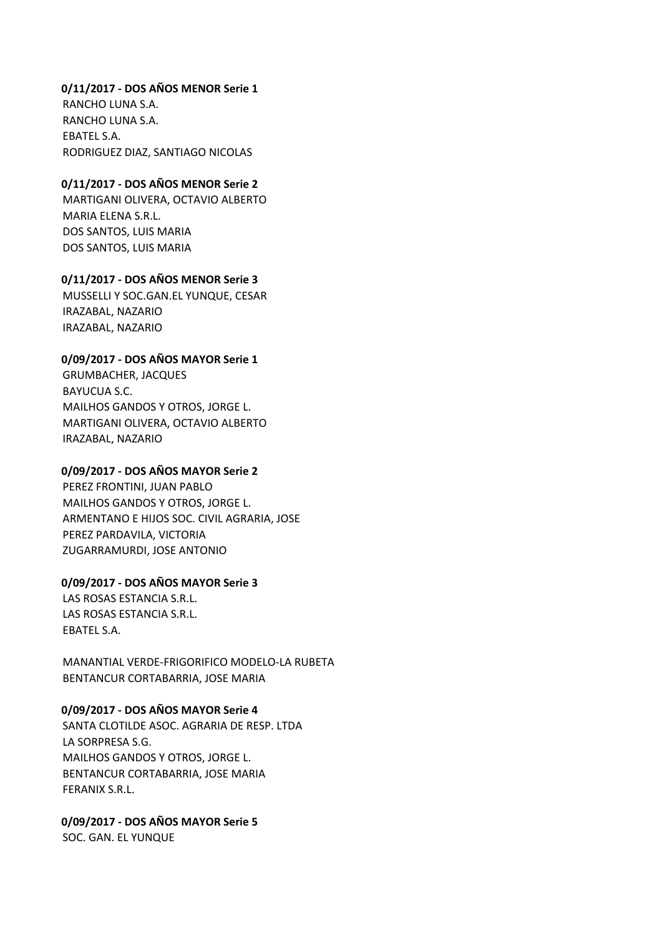### **0/11/2017 ‐ DOS AÑOS MENOR Serie 1**

RANCHO LUNA S.A. RANCHO LUNA S.A. EBATEL S.A. RODRIGUEZ DIAZ, SANTIAGO NICOLAS

### **0/11/2017 ‐ DOS AÑOS MENOR Serie 2**

MARTIGANI OLIVERA, OCTAVIO ALBERTO MARIA ELENA S.R.L. DOS SANTOS, LUIS MARIA DOS SANTOS, LUIS MARIA

### **0/11/2017 ‐ DOS AÑOS MENOR Serie 3**

MUSSELLI Y SOC.GAN.EL YUNQUE, CESAR IRAZABAL, NAZARIO IRAZABAL, NAZARIO

### **0/09/2017 ‐ DOS AÑOS MAYOR Serie 1**

GRUMBACHER, JACQUES BAYUCUA S.C. MAILHOS GANDOS Y OTROS, JORGE L. MARTIGANI OLIVERA, OCTAVIO ALBERTO IRAZABAL, NAZARIO

### **0/09/2017 ‐ DOS AÑOS MAYOR Serie 2**

PEREZ FRONTINI, JUAN PABLO MAILHOS GANDOS Y OTROS, JORGE L. ARMENTANO E HIJOS SOC. CIVIL AGRARIA, JOSE PEREZ PARDAVILA, VICTORIA ZUGARRAMURDI, JOSE ANTONIO

### **0/09/2017 ‐ DOS AÑOS MAYOR Serie 3**

LAS ROSAS ESTANCIA S.R.L. LAS ROSAS ESTANCIA S.R.L. EBATEL S.A.

MANANTIAL VERDE‐FRIGORIFICO MODELO‐LA RUBETA BENTANCUR CORTABARRIA, JOSE MARIA

### **0/09/2017 ‐ DOS AÑOS MAYOR Serie 4**

SANTA CLOTILDE ASOC. AGRARIA DE RESP. LTDA LA SORPRESA S.G. MAILHOS GANDOS Y OTROS, JORGE L. BENTANCUR CORTABARRIA, JOSE MARIA FERANIX S.R.L.

# **0/09/2017 ‐ DOS AÑOS MAYOR Serie 5**

SOC. GAN. EL YUNQUE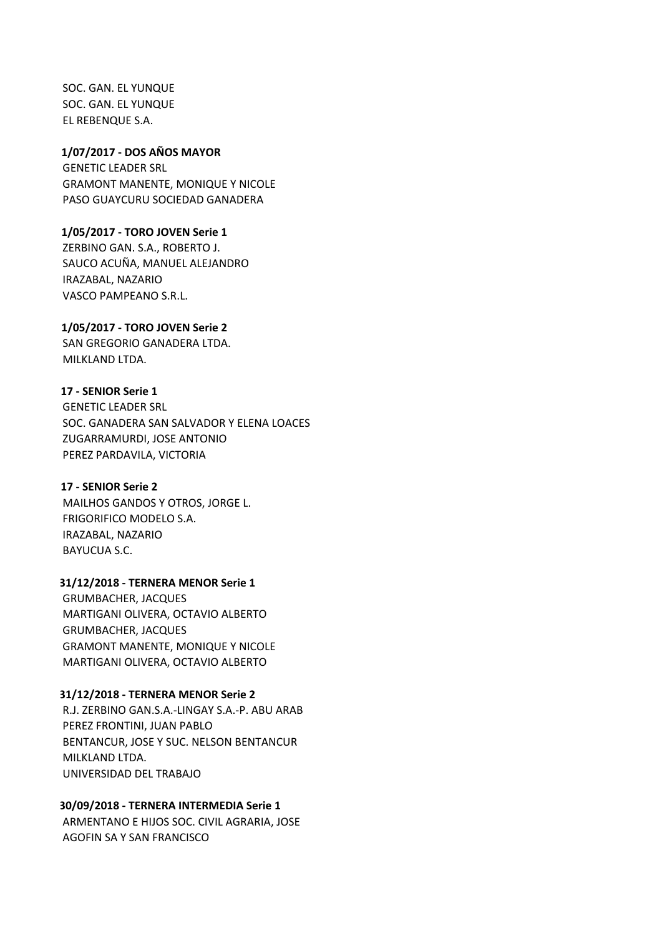SOC. GAN. EL YUNQUE SOC. GAN. EL YUNQUE EL REBENQUE S.A.

GENETIC LEADER SRL GRAMONT MANENTE, MONIQUE Y NICOLE PASO GUAYCURU SOCIEDAD GANADERA **1/07/2017 ‐ DOS AÑOS MAYOR** 

ZERBINO GAN. S.A., ROBERTO J. SAUCO ACUÑA, MANUEL ALEJANDRO IRAZABAL, NAZARIO VASCO PAMPEANO S.R.L. **1/05/2017 ‐ TORO JOVEN Serie 1** 

### SAN GREGORIO GANADERA LTDA. **1/05/2017 ‐ TORO JOVEN Serie 2**

MILKLAND LTDA.

# **17 ‐ SENIOR Serie 1**

GENETIC LEADER SRL SOC. GANADERA SAN SALVADOR Y ELENA LOACES ZUGARRAMURDI, JOSE ANTONIO PEREZ PARDAVILA, VICTORIA

# **17 ‐ SENIOR Serie 2**

MAILHOS GANDOS Y OTROS, JORGE L. FRIGORIFICO MODELO S.A. IRAZABAL, NAZARIO BAYUCUA S.C.

### **31/12/2018 ‐ TERNERA MENOR Serie 1**

GRUMBACHER, JACQUES MARTIGANI OLIVERA, OCTAVIO ALBERTO GRUMBACHER, JACQUES GRAMONT MANENTE, MONIQUE Y NICOLE MARTIGANI OLIVERA, OCTAVIO ALBERTO

### **31/12/2018 ‐ TERNERA MENOR Serie 2**

R.J. ZERBINO GAN.S.A.‐LINGAY S.A.‐P. ABU ARAB PEREZ FRONTINI, JUAN PABLO BENTANCUR, JOSE Y SUC. NELSON BENTANCUR MILKLAND LTDA. UNIVERSIDAD DEL TRABAJO

# **30/09/2018 ‐ TERNERA INTERMEDIA Serie 1**

ARMENTANO E HIJOS SOC. CIVIL AGRARIA, JOSE AGOFIN SA Y SAN FRANCISCO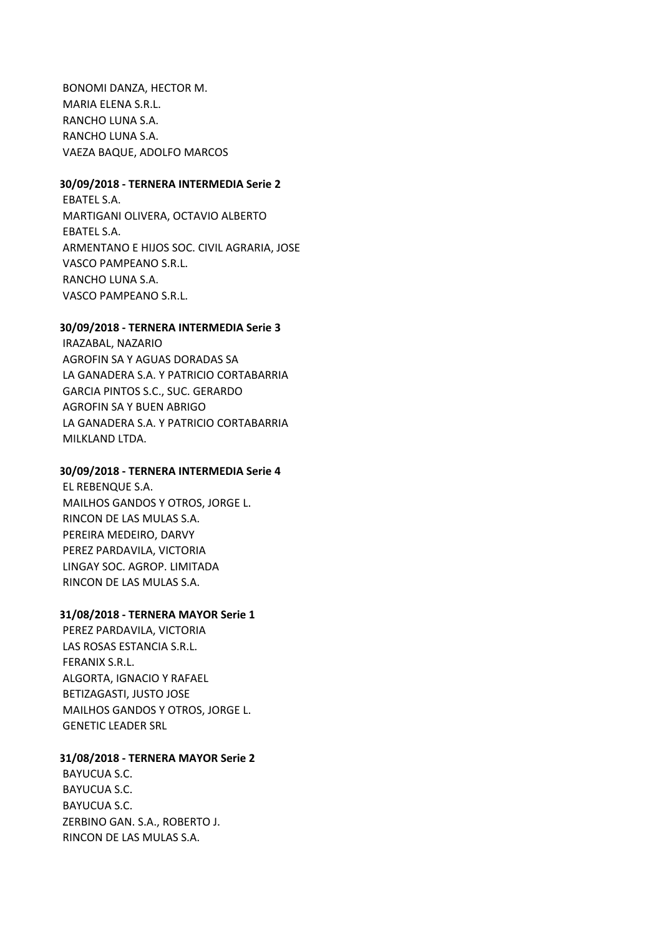BONOMI DANZA, HECTOR M. MARIA ELENA S.R.L. RANCHO LUNA S.A. RANCHO LUNA S.A. VAEZA BAQUE, ADOLFO MARCOS

### **30/09/2018 ‐ TERNERA INTERMEDIA Serie 2**

EBATEL S.A. MARTIGANI OLIVERA, OCTAVIO ALBERTO EBATEL S.A. ARMENTANO E HIJOS SOC. CIVIL AGRARIA, JOSE VASCO PAMPEANO S.R.L. RANCHO LUNA S.A. VASCO PAMPEANO S.R.L.

### **30/09/2018 ‐ TERNERA INTERMEDIA Serie 3**

IRAZABAL, NAZARIO AGROFIN SA Y AGUAS DORADAS SA LA GANADERA S.A. Y PATRICIO CORTABARRIA GARCIA PINTOS S.C., SUC. GERARDO AGROFIN SA Y BUEN ABRIGO LA GANADERA S.A. Y PATRICIO CORTABARRIA MILKLAND LTDA.

### **30/09/2018 ‐ TERNERA INTERMEDIA Serie 4**

EL REBENQUE S.A. MAILHOS GANDOS Y OTROS, JORGE L. RINCON DE LAS MULAS S.A. PEREIRA MEDEIRO, DARVY PEREZ PARDAVILA, VICTORIA LINGAY SOC. AGROP. LIMITADA RINCON DE LAS MULAS S.A.

### **31/08/2018 ‐ TERNERA MAYOR Serie 1**

PEREZ PARDAVILA, VICTORIA LAS ROSAS ESTANCIA S.R.L. FERANIX S.R.L. ALGORTA, IGNACIO Y RAFAEL BETIZAGASTI, JUSTO JOSE MAILHOS GANDOS Y OTROS, JORGE L. GENETIC LEADER SRL

### **31/08/2018 ‐ TERNERA MAYOR Serie 2**

BAYUCUA S.C. BAYUCUA S.C. BAYUCUA S.C. ZERBINO GAN. S.A., ROBERTO J. RINCON DE LAS MULAS S.A.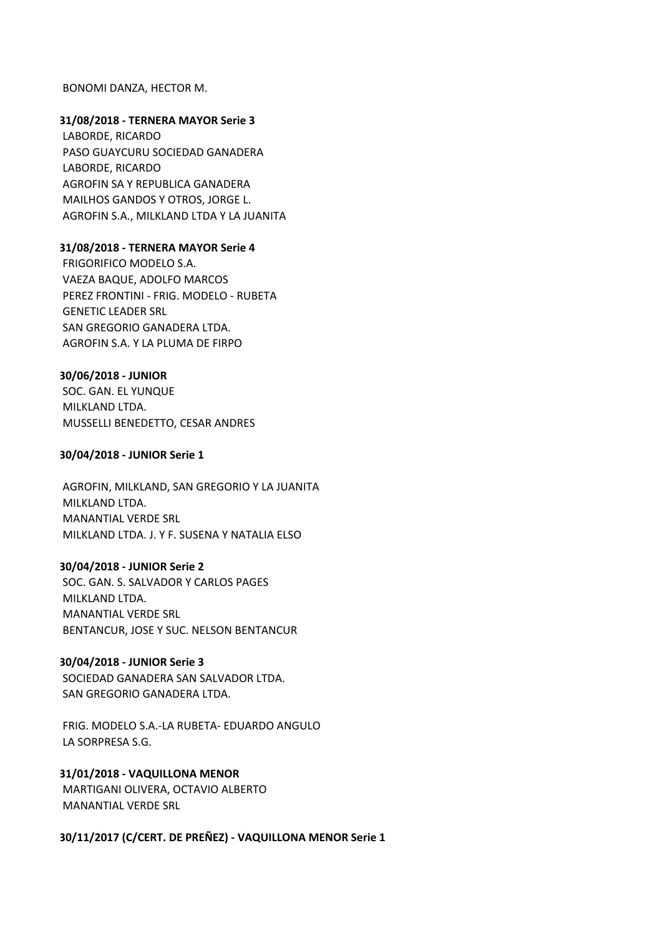#### BONOMI DANZA, HECTOR M.

### **31/08/2018 ‐ TERNERA MAYOR Serie 3**

LABORDE, RICARDO PASO GUAYCURU SOCIEDAD GANADERA LABORDE, RICARDO AGROFIN SA Y REPUBLICA GANADERA MAILHOS GANDOS Y OTROS, JORGE L. AGROFIN S.A., MILKLAND LTDA Y LA JUANITA

#### **31/08/2018 ‐ TERNERA MAYOR Serie 4**

FRIGORIFICO MODELO S.A. VAEZA BAQUE, ADOLFO MARCOS PEREZ FRONTINI ‐ FRIG. MODELO ‐ RUBETA GENETIC LEADER SRL SAN GREGORIO GANADERA LTDA. AGROFIN S.A. Y LA PLUMA DE FIRPO

#### **30/06/2018 ‐ JUNIOR**

SOC. GAN. EL YUNQUE MILKLAND LTDA. MUSSELLI BENEDETTO, CESAR ANDRES

#### **30/04/2018 ‐ JUNIOR Serie 1**

AGROFIN, MILKLAND, SAN GREGORIO Y LA JUANITA MILKLAND LTDA. MANANTIAL VERDE SRL MILKLAND LTDA. J. Y F. SUSENA Y NATALIA ELSO

#### **30/04/2018 ‐ JUNIOR Serie 2**

SOC. GAN. S. SALVADOR Y CARLOS PAGES MILKLAND LTDA. MANANTIAL VERDE SRL BENTANCUR, JOSE Y SUC. NELSON BENTANCUR

#### **30/04/2018 ‐ JUNIOR Serie 3**

SOCIEDAD GANADERA SAN SALVADOR LTDA. SAN GREGORIO GANADERA LTDA.

FRIG. MODELO S.A.‐LA RUBETA‐ EDUARDO ANGULO LA SORPRESA S.G.

#### **31/01/2018 ‐ VAQUILLONA MENOR**

MARTIGANI OLIVERA, OCTAVIO ALBERTO MANANTIAL VERDE SRL

**30/11/2017 (C/CERT. DE PREÑEZ) ‐ VAQUILLONA MENOR Serie 1**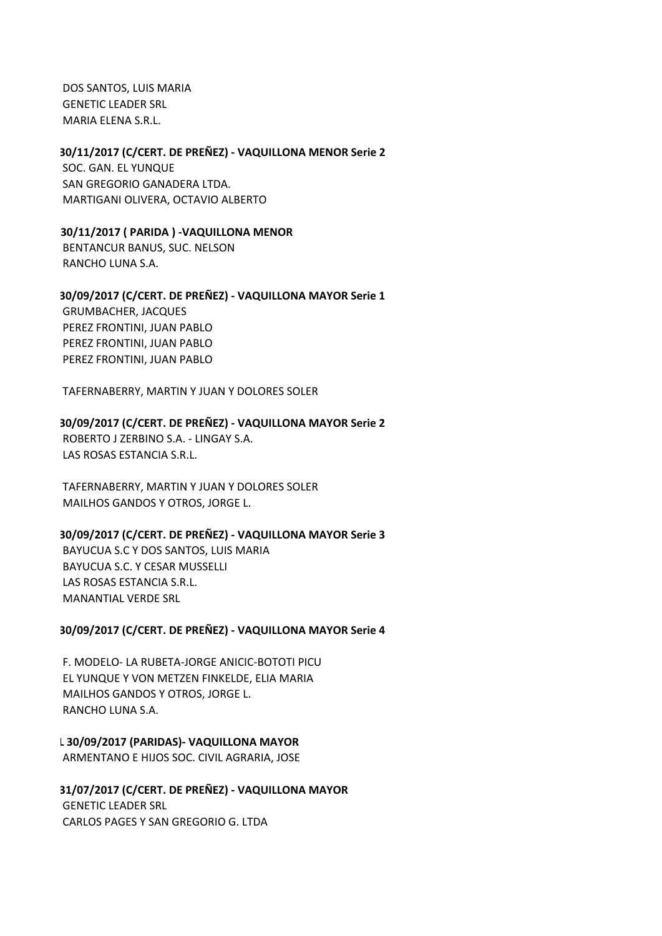DOS SANTOS, LUIS MARIA GENETIC LEADER SRL MARIA ELENA S.R.L.

### **30/11/2017 (C/CERT. DE PREÑEZ) ‐ VAQUILLONA MENOR Serie 2**

SOC. GAN. EL YUNQUE SAN GREGORIO GANADERA LTDA. MARTIGANI OLIVERA, OCTAVIO ALBERTO

### **30/11/2017 ( PARIDA ) ‐VAQUILLONA MENOR**

BENTANCUR BANUS, SUC. NELSON RANCHO LUNA S.A.

### **30/09/2017 (C/CERT. DE PREÑEZ) ‐ VAQUILLONA MAYOR Serie 1**

GRUMBACHER, JACQUES PEREZ FRONTINI, JUAN PABLO PEREZ FRONTINI, JUAN PABLO PEREZ FRONTINI, JUAN PABLO

TAFERNABERRY, MARTIN Y JUAN Y DOLORES SOLER

### **30/09/2017 (C/CERT. DE PREÑEZ) ‐ VAQUILLONA MAYOR Serie 2**

ROBERTO J ZERBINO S.A. ‐ LINGAY S.A. LAS ROSAS ESTANCIA S.R.L.

TAFERNABERRY, MARTIN Y JUAN Y DOLORES SOLER MAILHOS GANDOS Y OTROS, JORGE L.

### **30/09/2017 (C/CERT. DE PREÑEZ) ‐ VAQUILLONA MAYOR Serie 3**

BAYUCUA S.C Y DOS SANTOS, LUIS MARIA BAYUCUA S.C. Y CESAR MUSSELLI LAS ROSAS ESTANCIA S.R.L. MANANTIAL VERDE SRL

### **30/09/2017 (C/CERT. DE PREÑEZ) ‐ VAQUILLONA MAYOR Serie 4**

F. MODELO‐ LA RUBETA‐JORGE ANICIC‐BOTOTI PICU EL YUNQUE Y VON METZEN FINKELDE, ELIA MARIA MAILHOS GANDOS Y OTROS, JORGE L. RANCHO LUNA S.A.

#### **L 30/09/2017 (PARIDAS)‐ VAQUILLONA MAYOR**

ARMENTANO E HIJOS SOC. CIVIL AGRARIA, JOSE

### GENETIC LEADER SRL CARLOS PAGES Y SAN GREGORIO G. LTDA **31/07/2017 (C/CERT. DE PREÑEZ) ‐ VAQUILLONA MAYOR**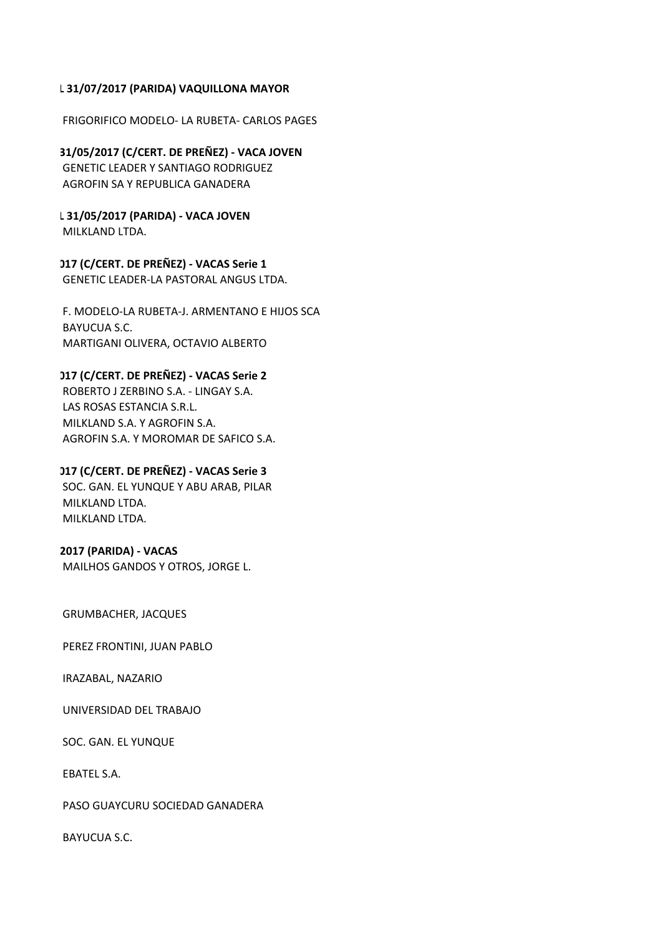### **L 31/07/2017 (PARIDA) VAQUILLONA MAYOR**

FRIGORIFICO MODELO‐ LA RUBETA‐ CARLOS PAGES

GENETIC LEADER Y SANTIAGO RODRIGUEZ AGROFIN SA Y REPUBLICA GANADERA **31/05/2017 (C/CERT. DE PREÑEZ) ‐ VACA JOVEN** 

MILKLAND LTDA. **L 31/05/2017 (PARIDA) ‐ VACA JOVEN** 

GENETIC LEADER‐LA PASTORAL ANGUS LTDA. **017 (C/CERT. DE PREÑEZ) ‐ VACAS Serie 1** 

F. MODELO‐LA RUBETA‐J. ARMENTANO E HIJOS SCA BAYUCUA S.C. MARTIGANI OLIVERA, OCTAVIO ALBERTO

# **017 (C/CERT. DE PREÑEZ) ‐ VACAS Serie 2**

ROBERTO J ZERBINO S.A. ‐ LINGAY S.A. LAS ROSAS ESTANCIA S.R.L. MILKLAND S.A. Y AGROFIN S.A. AGROFIN S.A. Y MOROMAR DE SAFICO S.A.

SOC. GAN. EL YUNQUE Y ABU ARAB, PILAR MILKLAND LTDA. MILKLAND LTDA. **017 (C/CERT. DE PREÑEZ) ‐ VACAS Serie 3** 

# **2017 (PARIDA) ‐ VACAS**

MAILHOS GANDOS Y OTROS, JORGE L.

GRUMBACHER, JACQUES

PEREZ FRONTINI, JUAN PABLO

IRAZABAL, NAZARIO

UNIVERSIDAD DEL TRABAJO

SOC. GAN. EL YUNQUE

EBATEL S.A.

PASO GUAYCURU SOCIEDAD GANADERA

BAYUCUA S.C.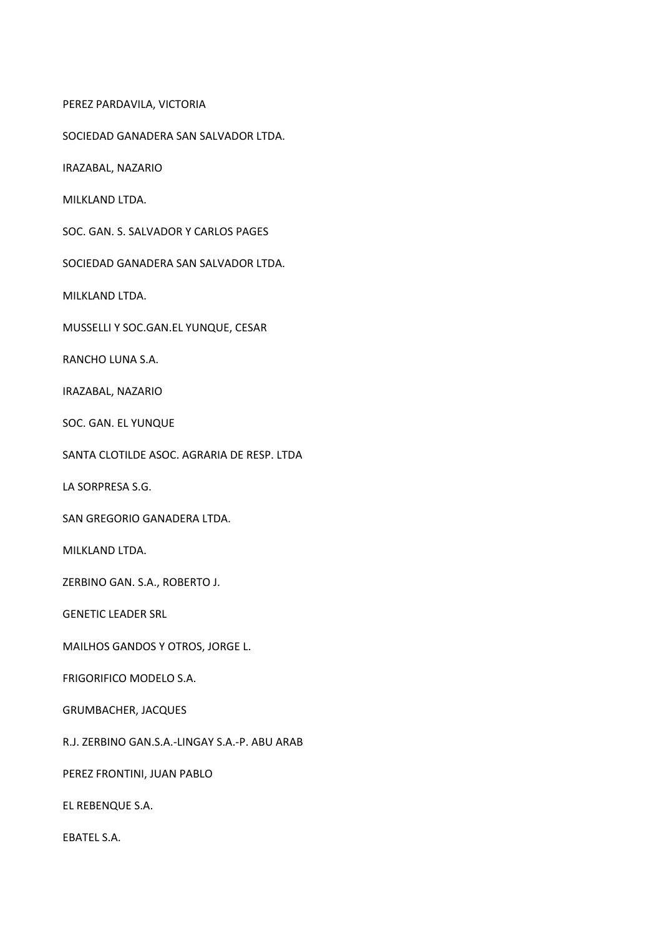PEREZ PARDAVILA, VICTORIA

SOCIEDAD GANADERA SAN SALVADOR LTDA.

IRAZABAL, NAZARIO

MILKLAND LTDA.

SOC. GAN. S. SALVADOR Y CARLOS PAGES

SOCIEDAD GANADERA SAN SALVADOR LTDA.

MILKLAND LTDA.

MUSSELLI Y SOC.GAN.EL YUNQUE, CESAR

RANCHO LUNA S.A.

IRAZABAL, NAZARIO

SOC. GAN. EL YUNQUE

SANTA CLOTILDE ASOC. AGRARIA DE RESP. LTDA

LA SORPRESA S.G.

SAN GREGORIO GANADERA LTDA.

MILKLAND LTDA.

ZERBINO GAN. S.A., ROBERTO J.

GENETIC LEADER SRL

MAILHOS GANDOS Y OTROS, JORGE L.

FRIGORIFICO MODELO S.A.

GRUMBACHER, JACQUES

R.J. ZERBINO GAN.S.A.‐LINGAY S.A.‐P. ABU ARAB

PEREZ FRONTINI, JUAN PABLO

EL REBENQUE S.A.

EBATEL S.A.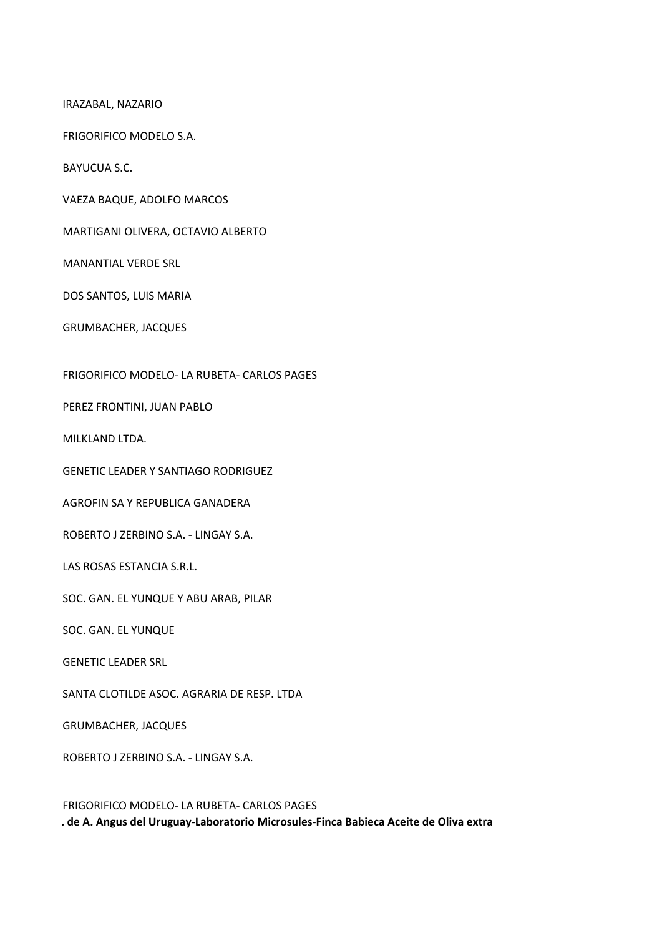IRAZABAL, NAZARIO

FRIGORIFICO MODELO S.A.

BAYUCUA S.C.

VAEZA BAQUE, ADOLFO MARCOS

MARTIGANI OLIVERA, OCTAVIO ALBERTO

MANANTIAL VERDE SRL

DOS SANTOS, LUIS MARIA

GRUMBACHER, JACQUES

FRIGORIFICO MODELO‐ LA RUBETA‐ CARLOS PAGES

PEREZ FRONTINI, JUAN PABLO

MILKLAND LTDA.

GENETIC LEADER Y SANTIAGO RODRIGUEZ

AGROFIN SA Y REPUBLICA GANADERA

ROBERTO J ZERBINO S.A. ‐ LINGAY S.A.

LAS ROSAS ESTANCIA S.R.L.

SOC. GAN. EL YUNQUE Y ABU ARAB, PILAR

SOC. GAN. EL YUNQUE

GENETIC LEADER SRL

SANTA CLOTILDE ASOC. AGRARIA DE RESP. LTDA

GRUMBACHER, JACQUES

ROBERTO J ZERBINO S.A. ‐ LINGAY S.A.

FRIGORIFICO MODELO‐ LA RUBETA‐ CARLOS PAGES **. de A. Angus del Uruguay‐Laboratorio Microsules‐Finca Babieca Aceite de Oliva extra**